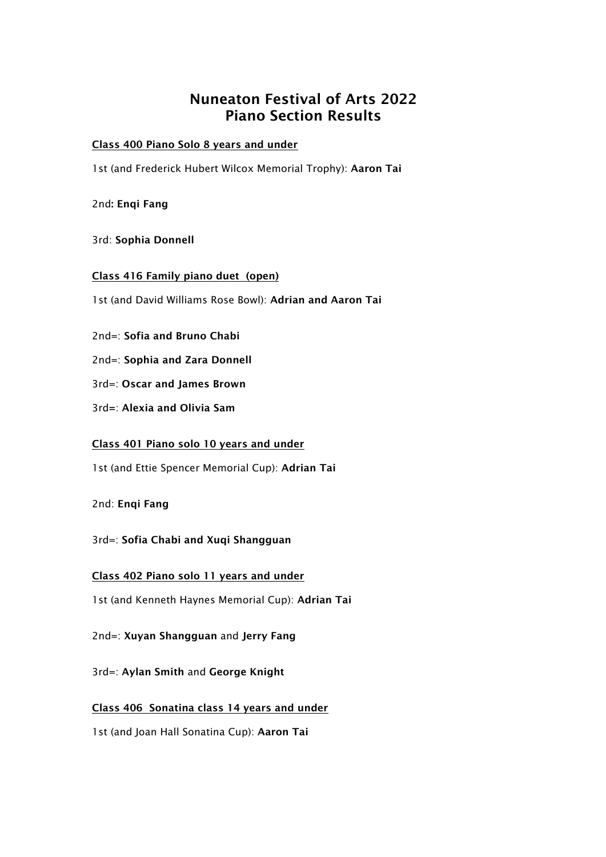# Nuneaton Festival of Arts 2022 Piano Section Results

#### Class 400 Piano Solo 8 years and under

1st (and Frederick Hubert Wilcox Memorial Trophy): Aaron Tai

2nd: Enqi Fang

3rd: Sophia Donnell

Class 416 Family piano duet (open)

1st (and David Williams Rose Bowl): Adrian and Aaron Tai

2nd=: Sofia and Bruno Chabi

2nd=: Sophia and Zara Donnell

3rd=: Oscar and James Brown

3rd=: Alexia and Olivia Sam

Class 401 Piano solo 10 years and under

1st (and Ettie Spencer Memorial Cup): Adrian Tai

2nd: Enqi Fang

3rd=: Sofia Chabi and Xuqi Shangguan

Class 402 Piano solo 11 years and under

1st (and Kenneth Haynes Memorial Cup): Adrian Tai

2nd=: Xuyan Shangguan and Jerry Fang

3rd=: Aylan Smith and George Knight

Class 406 Sonatina class 14 years and under

1st (and Joan Hall Sonatina Cup): Aaron Tai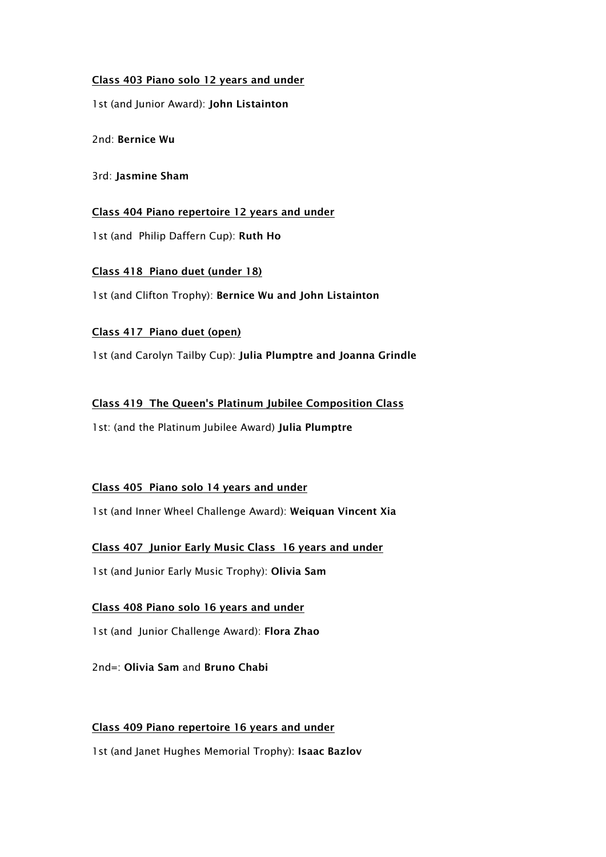## Class 403 Piano solo 12 years and under

1st (and Junior Award): John Listainton

2nd: Bernice Wu

3rd: Jasmine Sham

Class 404 Piano repertoire 12 years and under

1st (and Philip Daffern Cup): Ruth Ho

Class 418 Piano duet (under 18) 1st (and Clifton Trophy): Bernice Wu and John Listainton

## Class 417 Piano duet (open)

1st (and Carolyn Tailby Cup): Julia Plumptre and Joanna Grindle

Class 419 The Queen's Platinum Jubilee Composition Class

1st: (and the Platinum Jubilee Award) Julia Plumptre

# Class 405 Piano solo 14 years and under

1st (and Inner Wheel Challenge Award): Weiquan Vincent Xia

Class 407 Junior Early Music Class 16 years and under

1st (and Junior Early Music Trophy): Olivia Sam

# Class 408 Piano solo 16 years and under

1st (and Junior Challenge Award): Flora Zhao

2nd=: Olivia Sam and Bruno Chabi

# Class 409 Piano repertoire 16 years and under

1st (and Janet Hughes Memorial Trophy): Isaac Bazlov